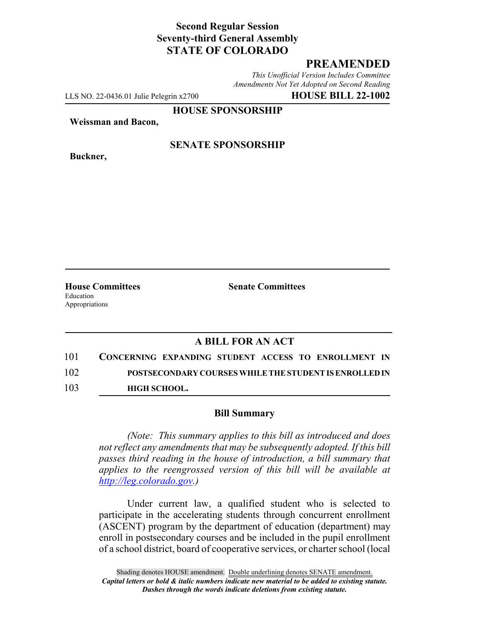## **Second Regular Session Seventy-third General Assembly STATE OF COLORADO**

## **PREAMENDED**

*This Unofficial Version Includes Committee Amendments Not Yet Adopted on Second Reading*

LLS NO. 22-0436.01 Julie Pelegrin x2700 **HOUSE BILL 22-1002**

**HOUSE SPONSORSHIP**

**Weissman and Bacon,**

**Buckner,**

#### **SENATE SPONSORSHIP**

Education Appropriations

**House Committees Senate Committees**

## **A BILL FOR AN ACT**

| 101 | CONCERNING EXPANDING STUDENT ACCESS TO ENROLLMENT IN   |
|-----|--------------------------------------------------------|
| 102 | POSTSECONDARY COURSES WHILE THE STUDENT IS ENROLLED IN |
| 103 | <b>HIGH SCHOOL.</b>                                    |

#### **Bill Summary**

*(Note: This summary applies to this bill as introduced and does not reflect any amendments that may be subsequently adopted. If this bill passes third reading in the house of introduction, a bill summary that applies to the reengrossed version of this bill will be available at http://leg.colorado.gov.)*

Under current law, a qualified student who is selected to participate in the accelerating students through concurrent enrollment (ASCENT) program by the department of education (department) may enroll in postsecondary courses and be included in the pupil enrollment of a school district, board of cooperative services, or charter school (local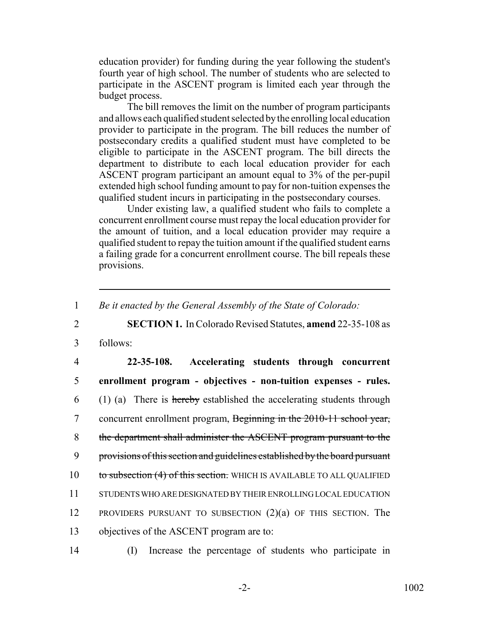education provider) for funding during the year following the student's fourth year of high school. The number of students who are selected to participate in the ASCENT program is limited each year through the budget process.

The bill removes the limit on the number of program participants and allows each qualified student selected by the enrolling local education provider to participate in the program. The bill reduces the number of postsecondary credits a qualified student must have completed to be eligible to participate in the ASCENT program. The bill directs the department to distribute to each local education provider for each ASCENT program participant an amount equal to 3% of the per-pupil extended high school funding amount to pay for non-tuition expenses the qualified student incurs in participating in the postsecondary courses.

Under existing law, a qualified student who fails to complete a concurrent enrollment course must repay the local education provider for the amount of tuition, and a local education provider may require a qualified student to repay the tuition amount if the qualified student earns a failing grade for a concurrent enrollment course. The bill repeals these provisions.

1 *Be it enacted by the General Assembly of the State of Colorado:*

2 **SECTION 1.** In Colorado Revised Statutes, **amend** 22-35-108 as

3 follows:

 **22-35-108. Accelerating students through concurrent enrollment program - objectives - non-tuition expenses - rules.** (1) (a) There is hereby established the accelerating students through 7 concurrent enrollment program, Beginning in the 2010-11 school year, the department shall administer the ASCENT program pursuant to the provisions of this section and guidelines established by the board pursuant 10 to subsection (4) of this section. WHICH IS AVAILABLE TO ALL QUALIFIED STUDENTS WHO ARE DESIGNATED BY THEIR ENROLLING LOCAL EDUCATION 12 PROVIDERS PURSUANT TO SUBSECTION  $(2)(a)$  of this section. The objectives of the ASCENT program are to:

14 (I) Increase the percentage of students who participate in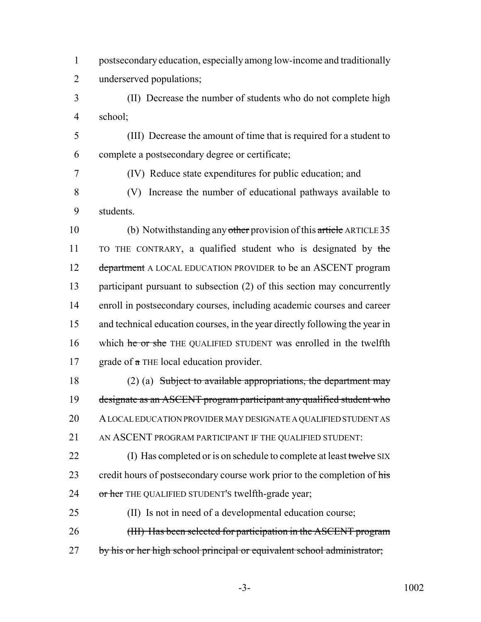1 postsecondary education, especially among low-income and traditionally 2 underserved populations;

3 (II) Decrease the number of students who do not complete high 4 school;

5 (III) Decrease the amount of time that is required for a student to 6 complete a postsecondary degree or certificate;

7 (IV) Reduce state expenditures for public education; and

8 (V) Increase the number of educational pathways available to 9 students.

10 (b) Notwithstanding any other provision of this article ARTICLE 35 11 TO THE CONTRARY, a qualified student who is designated by the 12 department A LOCAL EDUCATION PROVIDER to be an ASCENT program 13 participant pursuant to subsection (2) of this section may concurrently 14 enroll in postsecondary courses, including academic courses and career 15 and technical education courses, in the year directly following the year in 16 which he or she THE QUALIFIED STUDENT was enrolled in the twelfth 17 grade of a THE local education provider.

 (2) (a) Subject to available appropriations, the department may designate as an ASCENT program participant any qualified student who A LOCAL EDUCATION PROVIDER MAY DESIGNATE A QUALIFIED STUDENT AS 21 AN ASCENT PROGRAM PARTICIPANT IF THE QUALIFIED STUDENT:

22 (I) Has completed or is on schedule to complete at least twelve SIX 23 credit hours of postsecondary course work prior to the completion of his 24 or her THE QUALIFIED STUDENT's twelfth-grade year;

25 (II) Is not in need of a developmental education course; 26 (III) Has been selected for participation in the ASCENT program 27 by his or her high school principal or equivalent school administrator;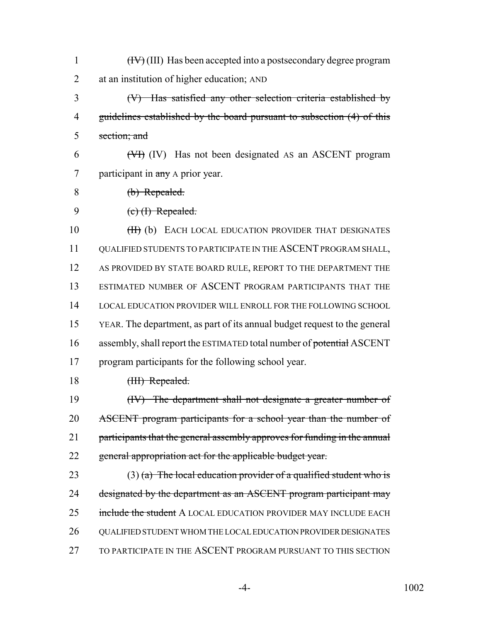| $\mathbf{1}$   | $(HV)$ (III) Has been accepted into a postsecondary degree program        |
|----------------|---------------------------------------------------------------------------|
| $\overline{2}$ | at an institution of higher education; AND                                |
| 3              | $(V)$ Has satisfied any other selection criteria established by           |
| 4              | guidelines established by the board pursuant to subsection (4) of this    |
| 5              | section; and                                                              |
| 6              | $(\forall f)$ (IV) Has not been designated AS an ASCENT program           |
| 7              | participant in any A prior year.                                          |
| 8              | (b) Repealed.                                                             |
| 9              | $(e)$ (I) Repealed.                                                       |
| 10             | (H) (b) EACH LOCAL EDUCATION PROVIDER THAT DESIGNATES                     |
| 11             | QUALIFIED STUDENTS TO PARTICIPATE IN THE ASCENT PROGRAM SHALL,            |
| 12             | AS PROVIDED BY STATE BOARD RULE, REPORT TO THE DEPARTMENT THE             |
| 13             | ESTIMATED NUMBER OF ASCENT PROGRAM PARTICIPANTS THAT THE                  |
| 14             | LOCAL EDUCATION PROVIDER WILL ENROLL FOR THE FOLLOWING SCHOOL             |
| 15             | YEAR. The department, as part of its annual budget request to the general |
| 16             | assembly, shall report the ESTIMATED total number of potential ASCENT     |
| 17             | program participants for the following school year.                       |
| 18             | (III) Repealed.                                                           |
| 19             | (IV) The department shall not designate a greater number of               |
| 20             | ASCENT program participants for a school year than the number of          |
| 21             | participants that the general assembly approves for funding in the annual |
| 22             | general appropriation act for the applicable budget year.                 |
| 23             | $(3)$ (a) The local education provider of a qualified student who is      |
| 24             | designated by the department as an ASCENT program participant may         |
| 25             | include the student A LOCAL EDUCATION PROVIDER MAY INCLUDE EACH           |
| 26             | QUALIFIED STUDENT WHOM THE LOCAL EDUCATION PROVIDER DESIGNATES            |
| 27             | TO PARTICIPATE IN THE ASCENT PROGRAM PURSUANT TO THIS SECTION             |
|                |                                                                           |

-4- 1002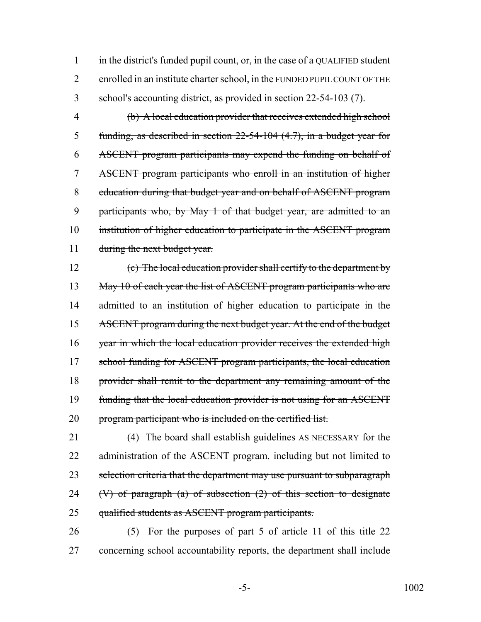in the district's funded pupil count, or, in the case of a QUALIFIED student enrolled in an institute charter school, in the FUNDED PUPIL COUNT OF THE school's accounting district, as provided in section 22-54-103 (7).

 (b) A local education provider that receives extended high school funding, as described in section 22-54-104 (4.7), in a budget year for ASCENT program participants may expend the funding on behalf of ASCENT program participants who enroll in an institution of higher education during that budget year and on behalf of ASCENT program participants who, by May 1 of that budget year, are admitted to an institution of higher education to participate in the ASCENT program 11 during the next budget year.

 (c) The local education provider shall certify to the department by 13 May 10 of each year the list of ASCENT program participants who are 14 admitted to an institution of higher education to participate in the 15 ASCENT program during the next budget year. At the end of the budget 16 year in which the local education provider receives the extended high 17 school funding for ASCENT program participants, the local education provider shall remit to the department any remaining amount of the funding that the local education provider is not using for an ASCENT 20 program participant who is included on the certified list.

 (4) The board shall establish guidelines AS NECESSARY for the 22 administration of the ASCENT program. including but not limited to 23 selection criteria that the department may use pursuant to subparagraph 24 (V) of paragraph (a) of subsection  $(2)$  of this section to designate qualified students as ASCENT program participants.

 (5) For the purposes of part 5 of article 11 of this title 22 concerning school accountability reports, the department shall include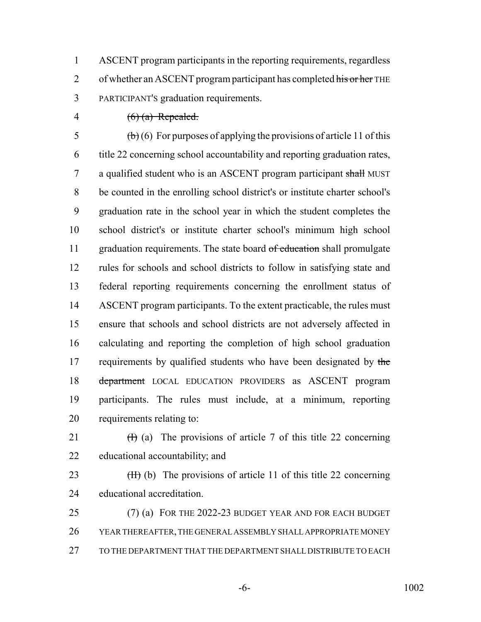ASCENT program participants in the reporting requirements, regardless 2 of whether an ASCENT program participant has completed his or her THE PARTICIPANT'S graduation requirements.

4  $(6)$  (a) Repealed.

5 (b) (6) For purposes of applying the provisions of article 11 of this title 22 concerning school accountability and reporting graduation rates, 7 a qualified student who is an ASCENT program participant shall MUST be counted in the enrolling school district's or institute charter school's graduation rate in the school year in which the student completes the school district's or institute charter school's minimum high school 11 graduation requirements. The state board of education shall promulgate rules for schools and school districts to follow in satisfying state and federal reporting requirements concerning the enrollment status of 14 ASCENT program participants. To the extent practicable, the rules must ensure that schools and school districts are not adversely affected in calculating and reporting the completion of high school graduation 17 requirements by qualified students who have been designated by the 18 department LOCAL EDUCATION PROVIDERS as ASCENT program participants. The rules must include, at a minimum, reporting requirements relating to:

21  $(H)$  (a) The provisions of article 7 of this title 22 concerning educational accountability; and

23  $(H)$  (b) The provisions of article 11 of this title 22 concerning educational accreditation.

 (7) (a) FOR THE 2022-23 BUDGET YEAR AND FOR EACH BUDGET YEAR THEREAFTER, THE GENERAL ASSEMBLY SHALL APPROPRIATE MONEY TO THE DEPARTMENT THAT THE DEPARTMENT SHALL DISTRIBUTE TO EACH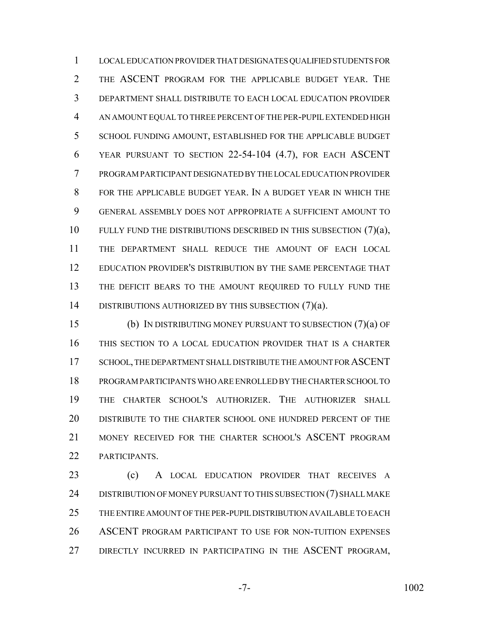LOCAL EDUCATION PROVIDER THAT DESIGNATES QUALIFIED STUDENTS FOR THE ASCENT PROGRAM FOR THE APPLICABLE BUDGET YEAR. THE DEPARTMENT SHALL DISTRIBUTE TO EACH LOCAL EDUCATION PROVIDER AN AMOUNT EQUAL TO THREE PERCENT OF THE PER-PUPIL EXTENDED HIGH 5 SCHOOL FUNDING AMOUNT, ESTABLISHED FOR THE APPLICABLE BUDGET YEAR PURSUANT TO SECTION 22-54-104 (4.7), FOR EACH ASCENT PROGRAM PARTICIPANT DESIGNATED BY THE LOCAL EDUCATION PROVIDER FOR THE APPLICABLE BUDGET YEAR. IN A BUDGET YEAR IN WHICH THE GENERAL ASSEMBLY DOES NOT APPROPRIATE A SUFFICIENT AMOUNT TO 10 FULLY FUND THE DISTRIBUTIONS DESCRIBED IN THIS SUBSECTION (7)(a), THE DEPARTMENT SHALL REDUCE THE AMOUNT OF EACH LOCAL EDUCATION PROVIDER'S DISTRIBUTION BY THE SAME PERCENTAGE THAT 13 THE DEFICIT BEARS TO THE AMOUNT REQUIRED TO FULLY FUND THE 14 DISTRIBUTIONS AUTHORIZED BY THIS SUBSECTION (7)(a).

 (b) IN DISTRIBUTING MONEY PURSUANT TO SUBSECTION (7)(a) OF THIS SECTION TO A LOCAL EDUCATION PROVIDER THAT IS A CHARTER 17 SCHOOL, THE DEPARTMENT SHALL DISTRIBUTE THE AMOUNT FOR ASCENT PROGRAM PARTICIPANTS WHO ARE ENROLLED BY THE CHARTER SCHOOL TO THE CHARTER SCHOOL'S AUTHORIZER. THE AUTHORIZER SHALL DISTRIBUTE TO THE CHARTER SCHOOL ONE HUNDRED PERCENT OF THE MONEY RECEIVED FOR THE CHARTER SCHOOL'S ASCENT PROGRAM PARTICIPANTS.

 (c) A LOCAL EDUCATION PROVIDER THAT RECEIVES A 24 DISTRIBUTION OF MONEY PURSUANT TO THIS SUBSECTION (7) SHALL MAKE THE ENTIRE AMOUNT OF THE PER-PUPIL DISTRIBUTION AVAILABLE TO EACH ASCENT PROGRAM PARTICIPANT TO USE FOR NON-TUITION EXPENSES 27 DIRECTLY INCURRED IN PARTICIPATING IN THE ASCENT PROGRAM,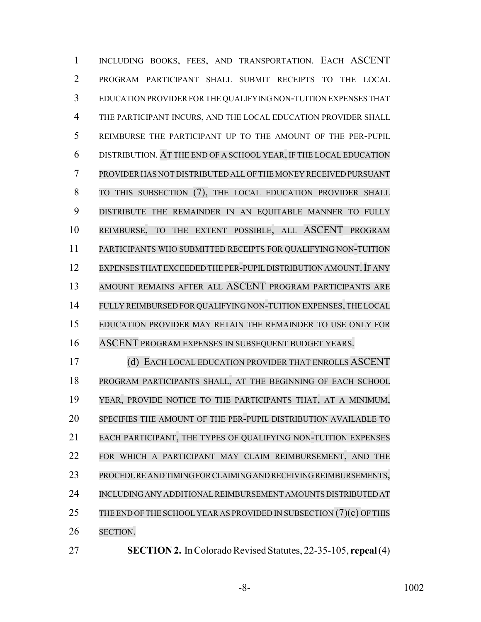1 INCLUDING BOOKS, FEES, AND TRANSPORTATION. EACH ASCENT PROGRAM PARTICIPANT SHALL SUBMIT RECEIPTS TO THE LOCAL EDUCATION PROVIDER FOR THE QUALIFYING NON-TUITION EXPENSES THAT THE PARTICIPANT INCURS, AND THE LOCAL EDUCATION PROVIDER SHALL REIMBURSE THE PARTICIPANT UP TO THE AMOUNT OF THE PER-PUPIL DISTRIBUTION. AT THE END OF A SCHOOL YEAR, IF THE LOCAL EDUCATION PROVIDER HAS NOT DISTRIBUTED ALL OF THE MONEY RECEIVED PURSUANT TO THIS SUBSECTION (7), THE LOCAL EDUCATION PROVIDER SHALL DISTRIBUTE THE REMAINDER IN AN EQUITABLE MANNER TO FULLY REIMBURSE, TO THE EXTENT POSSIBLE, ALL ASCENT PROGRAM PARTICIPANTS WHO SUBMITTED RECEIPTS FOR QUALIFYING NON-TUITION 12 EXPENSES THAT EXCEEDED THE PER-PUPIL DISTRIBUTION AMOUNT. IF ANY AMOUNT REMAINS AFTER ALL ASCENT PROGRAM PARTICIPANTS ARE FULLY REIMBURSED FOR QUALIFYING NON-TUITION EXPENSES, THE LOCAL EDUCATION PROVIDER MAY RETAIN THE REMAINDER TO USE ONLY FOR ASCENT PROGRAM EXPENSES IN SUBSEQUENT BUDGET YEARS.

 (d) EACH LOCAL EDUCATION PROVIDER THAT ENROLLS ASCENT PROGRAM PARTICIPANTS SHALL, AT THE BEGINNING OF EACH SCHOOL YEAR, PROVIDE NOTICE TO THE PARTICIPANTS THAT, AT A MINIMUM, SPECIFIES THE AMOUNT OF THE PER-PUPIL DISTRIBUTION AVAILABLE TO EACH PARTICIPANT, THE TYPES OF QUALIFYING NON-TUITION EXPENSES FOR WHICH A PARTICIPANT MAY CLAIM REIMBURSEMENT, AND THE PROCEDURE AND TIMING FOR CLAIMING AND RECEIVING REIMBURSEMENTS, INCLUDING ANY ADDITIONAL REIMBURSEMENT AMOUNTS DISTRIBUTED AT 25 THE END OF THE SCHOOL YEAR AS PROVIDED IN SUBSECTION  $(7)(c)$  OF THIS SECTION.

**SECTION 2.** In Colorado Revised Statutes, 22-35-105, **repeal** (4)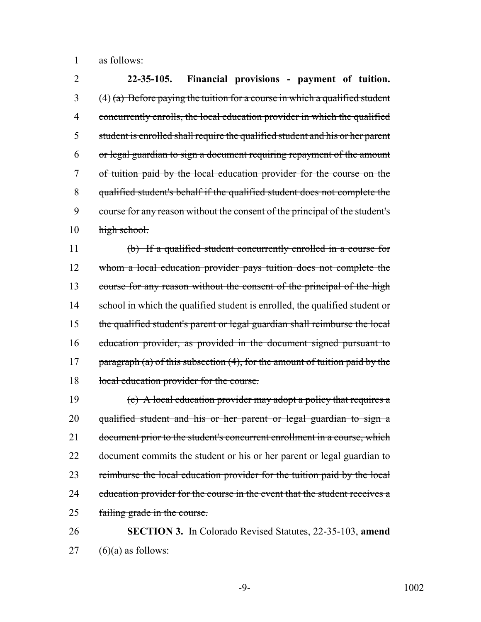1 as follows:

 **22-35-105. Financial provisions - payment of tuition.** (4) (a) Before paying the tuition for a course in which a qualified student concurrently enrolls, the local education provider in which the qualified student is enrolled shall require the qualified student and his or her parent or legal guardian to sign a document requiring repayment of the amount of tuition paid by the local education provider for the course on the qualified student's behalf if the qualified student does not complete the course for any reason without the consent of the principal of the student's high school.

11 (b) If a qualified student concurrently enrolled in a course for 12 whom a local education provider pays tuition does not complete the 13 course for any reason without the consent of the principal of the high 14 school in which the qualified student is enrolled, the qualified student or 15 the qualified student's parent or legal guardian shall reimburse the local 16 education provider, as provided in the document signed pursuant to 17 paragraph (a) of this subsection  $(4)$ , for the amount of tuition paid by the 18 local education provider for the course.

19 (c) A local education provider may adopt a policy that requires a 20 qualified student and his or her parent or legal guardian to sign a 21 document prior to the student's concurrent enrollment in a course, which 22 document commits the student or his or her parent or legal guardian to 23 reimburse the local education provider for the tuition paid by the local 24 education provider for the course in the event that the student receives a 25 failing grade in the course.

26 **SECTION 3.** In Colorado Revised Statutes, 22-35-103, **amend**  $27$  (6)(a) as follows: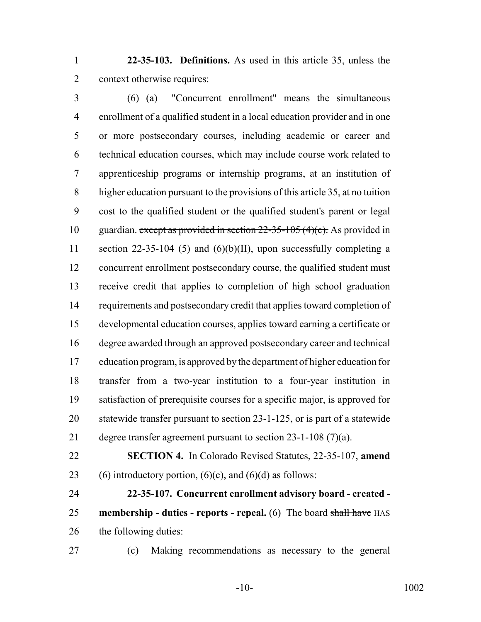**22-35-103. Definitions.** As used in this article 35, unless the context otherwise requires:

 (6) (a) "Concurrent enrollment" means the simultaneous enrollment of a qualified student in a local education provider and in one or more postsecondary courses, including academic or career and technical education courses, which may include course work related to apprenticeship programs or internship programs, at an institution of higher education pursuant to the provisions of this article 35, at no tuition cost to the qualified student or the qualified student's parent or legal 10 guardian. except as provided in section  $22-35-105(4)(c)$ . As provided in section 22-35-104 (5) and (6)(b)(II), upon successfully completing a concurrent enrollment postsecondary course, the qualified student must receive credit that applies to completion of high school graduation 14 requirements and postsecondary credit that applies toward completion of developmental education courses, applies toward earning a certificate or degree awarded through an approved postsecondary career and technical education program, is approved by the department of higher education for transfer from a two-year institution to a four-year institution in satisfaction of prerequisite courses for a specific major, is approved for statewide transfer pursuant to section 23-1-125, or is part of a statewide degree transfer agreement pursuant to section 23-1-108 (7)(a).

 **SECTION 4.** In Colorado Revised Statutes, 22-35-107, **amend** 23 (6) introductory portion,  $(6)(c)$ , and  $(6)(d)$  as follows:

 **22-35-107. Concurrent enrollment advisory board - created - membership - duties - reports - repeal.** (6) The board shall have HAS the following duties:

(c) Making recommendations as necessary to the general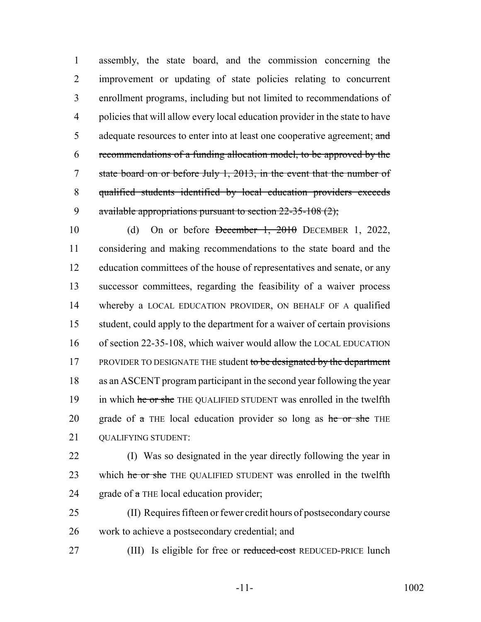assembly, the state board, and the commission concerning the improvement or updating of state policies relating to concurrent enrollment programs, including but not limited to recommendations of policies that will allow every local education provider in the state to have 5 adequate resources to enter into at least one cooperative agreement; and recommendations of a funding allocation model, to be approved by the state board on or before July 1, 2013, in the event that the number of qualified students identified by local education providers exceeds 9 available appropriations pursuant to section  $22-35-108(2)$ ;

10 (d) On or before December 1, 2010 DECEMBER 1, 2022, 11 considering and making recommendations to the state board and the 12 education committees of the house of representatives and senate, or any 13 successor committees, regarding the feasibility of a waiver process 14 whereby a LOCAL EDUCATION PROVIDER, ON BEHALF OF A qualified 15 student, could apply to the department for a waiver of certain provisions 16 of section 22-35-108, which waiver would allow the LOCAL EDUCATION 17 PROVIDER TO DESIGNATE THE student to be designated by the department 18 as an ASCENT program participant in the second year following the year 19 in which he or she THE QUALIFIED STUDENT was enrolled in the twelfth 20 grade of  $\alpha$  THE local education provider so long as  $\theta$  he or she THE 21 OUALIFYING STUDENT:

- 22 (I) Was so designated in the year directly following the year in 23 which he or she THE QUALIFIED STUDENT was enrolled in the twelfth 24 grade of  $\alpha$  THE local education provider;
- 25 (II) Requires fifteen or fewer credit hours of postsecondary course 26 work to achieve a postsecondary credential; and
- 
- 27 (III) Is eligible for free or reduced-cost REDUCED-PRICE lunch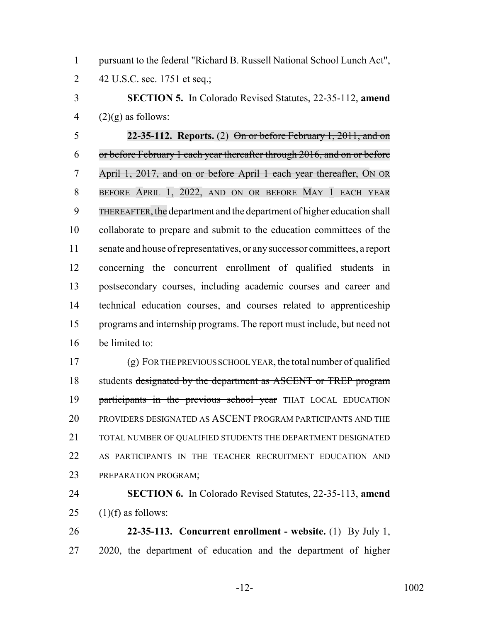pursuant to the federal "Richard B. Russell National School Lunch Act", 42 U.S.C. sec. 1751 et seq.;

 **SECTION 5.** In Colorado Revised Statutes, 22-35-112, **amend** 4  $(2)(g)$  as follows:

 **22-35-112. Reports.** (2) On or before February 1, 2011, and on or before February 1 each year thereafter through 2016, and on or before April 1, 2017, and on or before April 1 each year thereafter, ON OR BEFORE APRIL 1, 2022, AND ON OR BEFORE MAY 1 EACH YEAR THEREAFTER, the department and the department of higher education shall collaborate to prepare and submit to the education committees of the senate and house of representatives, or any successor committees, a report concerning the concurrent enrollment of qualified students in postsecondary courses, including academic courses and career and technical education courses, and courses related to apprenticeship programs and internship programs. The report must include, but need not be limited to:

 (g) FOR THE PREVIOUS SCHOOL YEAR, the total number of qualified 18 students designated by the department as ASCENT or TREP program 19 participants in the previous school year THAT LOCAL EDUCATION PROVIDERS DESIGNATED AS ASCENT PROGRAM PARTICIPANTS AND THE 21 TOTAL NUMBER OF OUALIFIED STUDENTS THE DEPARTMENT DESIGNATED AS PARTICIPANTS IN THE TEACHER RECRUITMENT EDUCATION AND PREPARATION PROGRAM;

 **SECTION 6.** In Colorado Revised Statutes, 22-35-113, **amend** 25  $(1)(f)$  as follows:

 **22-35-113. Concurrent enrollment - website.** (1) By July 1, 2020, the department of education and the department of higher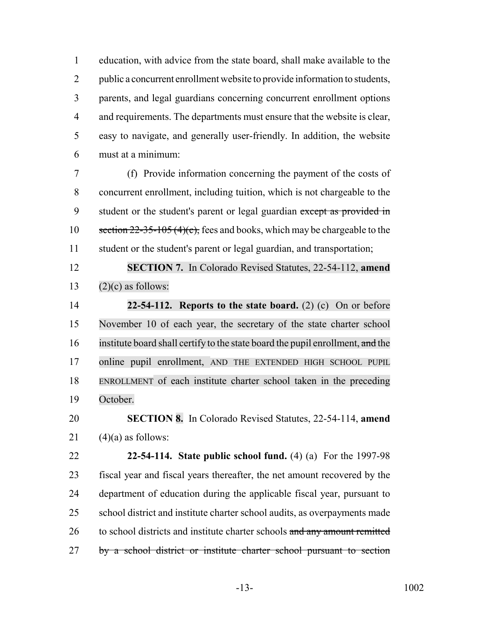education, with advice from the state board, shall make available to the 2 public a concurrent enrollment website to provide information to students, parents, and legal guardians concerning concurrent enrollment options 4 and requirements. The departments must ensure that the website is clear, easy to navigate, and generally user-friendly. In addition, the website must at a minimum:

 (f) Provide information concerning the payment of the costs of concurrent enrollment, including tuition, which is not chargeable to the 9 student or the student's parent or legal guardian except as provided in 10 section 22-35-105 (4)(c), fees and books, which may be chargeable to the student or the student's parent or legal guardian, and transportation;

 **SECTION 7.** In Colorado Revised Statutes, 22-54-112, **amend** 13  $(2)(c)$  as follows:

 **22-54-112. Reports to the state board.** (2) (c) On or before November 10 of each year, the secretary of the state charter school 16 institute board shall certify to the state board the pupil enrollment, and the online pupil enrollment, AND THE EXTENDED HIGH SCHOOL PUPIL ENROLLMENT of each institute charter school taken in the preceding October.

# **SECTION 8.** In Colorado Revised Statutes, 22-54-114, **amend** 21  $(4)(a)$  as follows:

 **22-54-114. State public school fund.** (4) (a) For the 1997-98 fiscal year and fiscal years thereafter, the net amount recovered by the department of education during the applicable fiscal year, pursuant to school district and institute charter school audits, as overpayments made 26 to school districts and institute charter schools and any amount remitted 27 by a school district or institute charter school pursuant to section